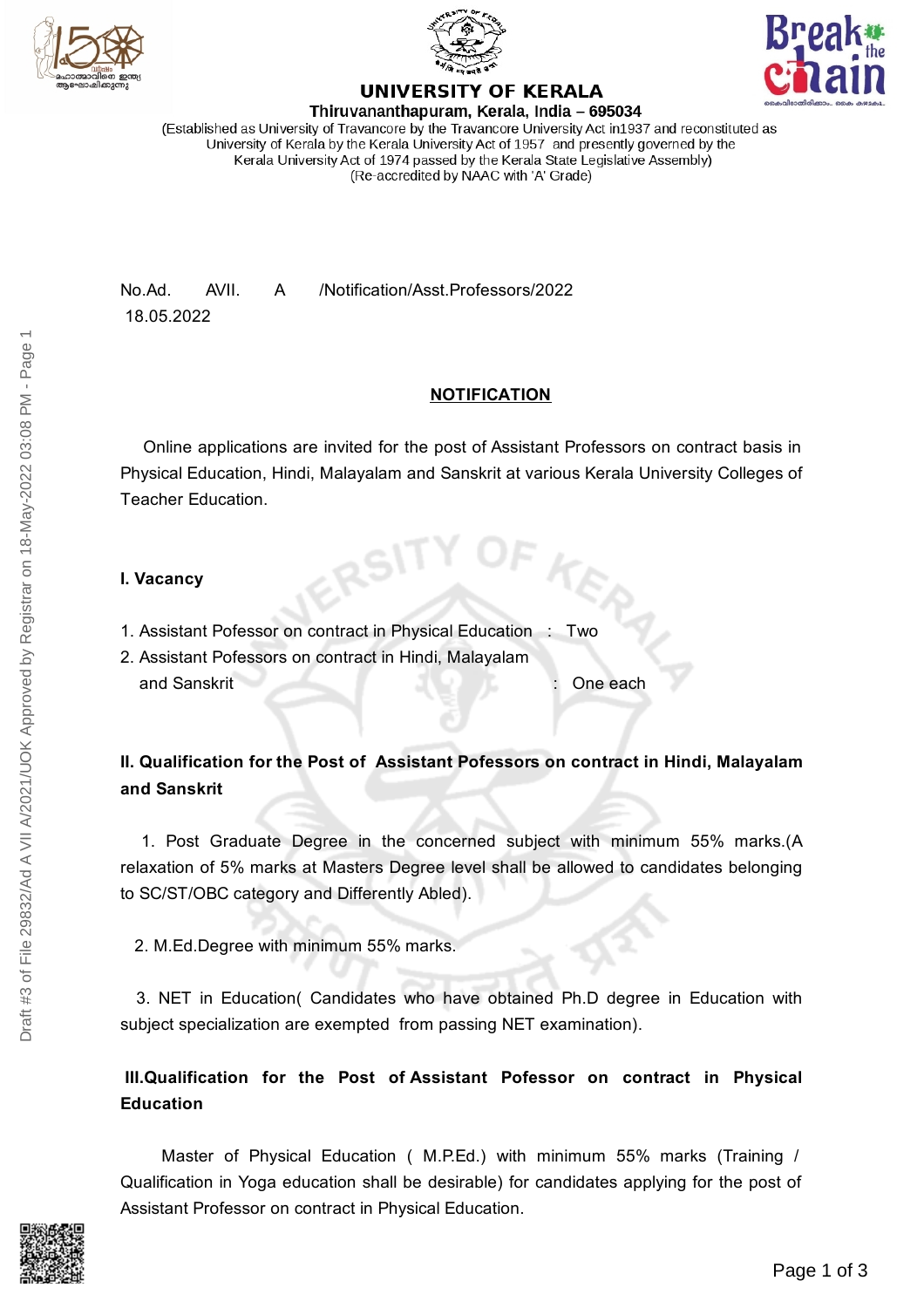





#### **UNIVERSITY OF KERALA** Thiruvananthapuram, Kerala, India - 695034

(Established as University of Travancore by the Travancore University Act in1937 and reconstituted as University of Kerala by the Kerala University Act of 1957 and presently governed by the Kerala University Act of 1974 passed by the Kerala State Legislative Assembly) (Re-accredited by NAAC with 'A' Grade)

No.Ad. AVII. A /Notification/Asst.Professors/2022 18.05.2022

# **NOTIFICATION**

Online applications are invited for the post of Assistant Professors on contract basis in Physical Education, Hindi, Malayalam and Sanskrit at various Kerala University Colleges of Teacher Education.

# **I. Vacancy**

- 1. Assistant Pofessor on contract in Physical Education : Two
- 2. Assistant Pofessors on contract in Hindi, Malayalam and Sanskrit : One each

# **II. Qualification for the Post of Assistant Pofessors on contract in Hindi, Malayalam and Sanskrit**

1. Post Graduate Degree in the concerned subject with minimum 55% marks.(A relaxation of 5% marks at Masters Degree level shall be allowed to candidates belonging to SC/ST/OBC category and Differently Abled).

2. M.Ed.Degree with minimum 55% marks.

3. NET in Education( Candidates who have obtained Ph.D degree in Education with subject specialization are exempted from passing NET examination).

# **III.Qualification for the Post of Assistant Pofessor on contract in Physical Education**

Master of Physical Education ( M.P.Ed.) with minimum 55% marks (Training / Qualification in Yoga education shall be desirable) for candidates applying for the post of Assistant Professor on contract in Physical Education.

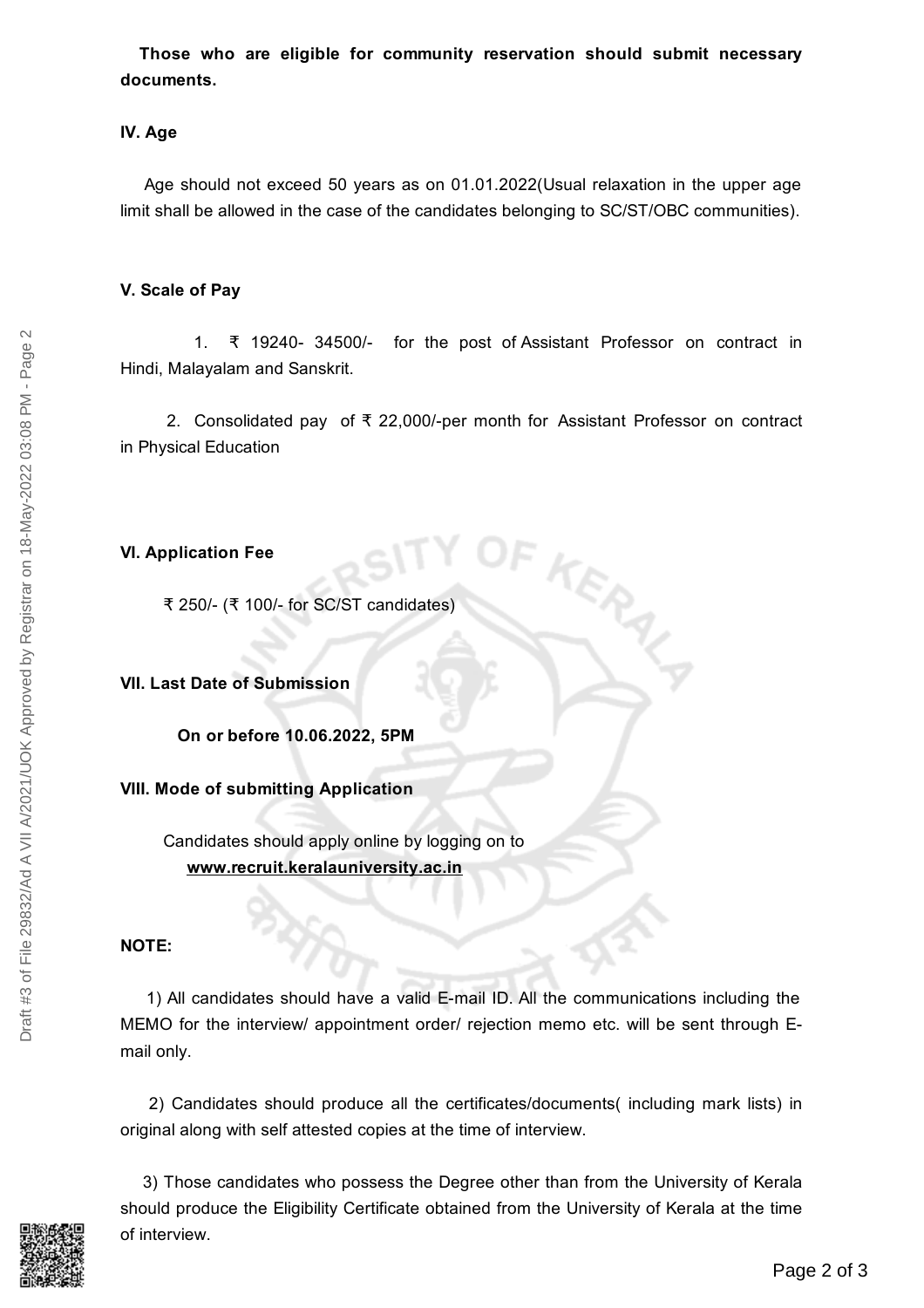**Those who are eligible for community reservation should submit necessary documents.**

#### **IV. Age**

Age should not exceed 50 years as on 01.01.2022(Usual relaxation in the upper age limit shall be allowed in the case of the candidates belonging to SC/ST/OBC communities).

#### **V. Scale of Pay**

1. ₹ 19240- 34500/- for the post of Assistant Professor on contract in Hindi, Malayalam and Sanskrit.

2. Consolidated pay of ₹ 22,000/-per month for Assistant Professor on contract in Physical Education

KERAL

### **VI. Application Fee**

₹ 250/- (₹ 100/- for SC/ST candidates)

#### **VII. Last Date of Submission**

**On or before 10.06.2022, 5PM**

# **VIII. Mode of submitting Application**

Candidates should apply online by logging on to **www.recruit.keralauniversity.ac.in**

# **NOTE:**

1) All candidates should have a valid E-mail ID. All the communications including the MEMO for the interview/ appointment order/ rejection memo etc. will be sent through Email only.

2) Candidates should produce all the certificates/documents( including mark lists) in original along with self attested copies at the time of interview.

3) Those candidates who possess the Degree other than from the University of Kerala should produce the Eligibility Certificate obtained from the University of Kerala at the time of interview.